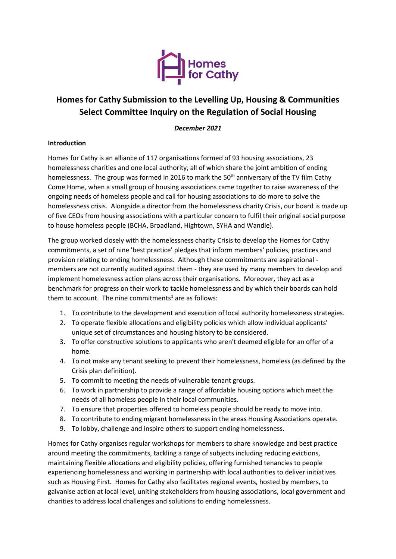

# **Homes for Cathy Submission to the Levelling Up, Housing & Communities Select Committee Inquiry on the Regulation of Social Housing**

# *December 2021*

# **Introduction**

Homes for Cathy is an alliance of 117 organisations formed of 93 housing associations, 23 homelessness charities and one local authority, all of which share the joint ambition of ending homelessness. The group was formed in 2016 to mark the 50<sup>th</sup> anniversary of the TV film Cathy Come Home, when a small group of housing associations came together to raise awareness of the ongoing needs of homeless people and call for housing associations to do more to solve the homelessness crisis. Alongside a director from the homelessness charity Crisis, our board is made up of five CEOs from housing associations with a particular concern to fulfil their original social purpose to house homeless people (BCHA, Broadland, Hightown, SYHA and Wandle).

The group worked closely with the homelessness charity Crisis to develop the Homes for Cathy commitments, a set of nine 'best practice' pledges that inform members' policies, practices and provision relating to ending homelessness. Although these commitments are aspirational members are not currently audited against them - they are used by many members to develop and implement homelessness action plans across their organisations. Moreover, they act as a benchmark for progress on their work to tackle homelessness and by which their boards can hold them to account. The nine commitments<sup>1</sup> are as follows:

- 1. To contribute to the development and execution of local authority homelessness strategies.
- 2. To operate flexible allocations and eligibility policies which allow individual applicants' unique set of circumstances and housing history to be considered.
- 3. To offer constructive solutions to applicants who aren't deemed eligible for an offer of a home.
- 4. To not make any tenant seeking to prevent their homelessness, homeless (as defined by the Crisis plan definition).
- 5. To commit to meeting the needs of vulnerable tenant groups.
- 6. To work in partnership to provide a range of affordable housing options which meet the needs of all homeless people in their local communities.
- 7. To ensure that properties offered to homeless people should be ready to move into.
- 8. To contribute to ending migrant homelessness in the areas Housing Associations operate.
- 9. To lobby, challenge and inspire others to support ending homelessness.

Homes for Cathy organises regular workshops for members to share knowledge and best practice around meeting the commitments, tackling a range of subjects including reducing evictions, maintaining flexible allocations and eligibility policies, offering furnished tenancies to people experiencing homelessness and working in partnership with local authorities to deliver initiatives such as Housing First. Homes for Cathy also facilitates regional events, hosted by members, to galvanise action at local level, uniting stakeholders from housing associations, local government and charities to address local challenges and solutions to ending homelessness.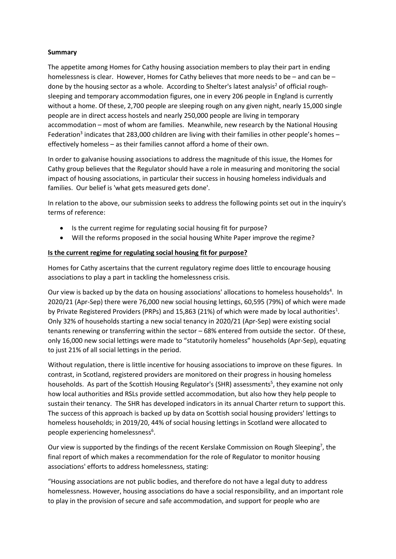# **Summary**

The appetite among Homes for Cathy housing association members to play their part in ending homelessness is clear. However, Homes for Cathy believes that more needs to be – and can be – done by the housing sector as a whole. According to Shelter's latest analysis<sup>2</sup> of official roughsleeping and temporary accommodation figures, one in every 206 people in England is currently without a home. Of these, 2,700 people are sleeping rough on any given night, nearly 15,000 single people are in direct access hostels and nearly 250,000 people are living in temporary accommodation – most of whom are families. Meanwhile, new research by the National Housing Federation<sup>3</sup> indicates that 283,000 children are living with their families in other people's homes effectively homeless – as their families cannot afford a home of their own.

In order to galvanise housing associations to address the magnitude of this issue, the Homes for Cathy group believes that the Regulator should have a role in measuring and monitoring the social impact of housing associations, in particular their success in housing homeless individuals and families. Our belief is 'what gets measured gets done'.

In relation to the above, our submission seeks to address the following points set out in the inquiry's terms of reference:

- Is the current regime for regulating social housing fit for purpose?
- Will the reforms proposed in the social housing White Paper improve the regime?

### **Is the current regime for regulating social housing fit for purpose?**

Homes for Cathy ascertains that the current regulatory regime does little to encourage housing associations to play a part in tackling the homelessness crisis.

Our view is backed up by the data on housing associations' allocations to homeless households<sup>4</sup>. In 2020/21 (Apr-Sep) there were 76,000 new social housing lettings, 60,595 (79%) of which were made by Private Registered Providers (PRPs) and 15,863 (21%) of which were made by local authorities<sup>1</sup>. Only 32% of households starting a new social tenancy in 2020/21 (Apr-Sep) were existing social tenants renewing or transferring within the sector – 68% entered from outside the sector. Of these, only 16,000 new social lettings were made to "statutorily homeless" households (Apr-Sep), equating to just 21% of all social lettings in the period.

Without regulation, there is little incentive for housing associations to improve on these figures. In contrast, in Scotland, registered providers are monitored on their progress in housing homeless households. As part of the Scottish Housing Regulator's (SHR) assessments<sup>5</sup>, they examine not only how local authorities and RSLs provide settled accommodation, but also how they help people to sustain their tenancy. The SHR has developed indicators in its annual Charter return to support this. The success of this approach is backed up by data on Scottish social housing providers' lettings to homeless households; in 2019/20, 44% of social housing lettings in Scotland were allocated to people experiencing homelessness<sup>6</sup>.

Our view is supported by the findings of the recent Kerslake Commission on Rough Sleeping<sup>7</sup>, the final report of which makes a recommendation for the role of Regulator to monitor housing associations' efforts to address homelessness, stating:

"Housing associations are not public bodies, and therefore do not have a legal duty to address homelessness. However, housing associations do have a social responsibility, and an important role to play in the provision of secure and safe accommodation, and support for people who are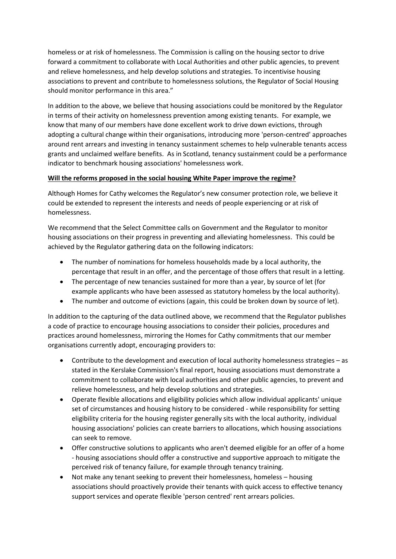homeless or at risk of homelessness. The Commission is calling on the housing sector to drive forward a commitment to collaborate with Local Authorities and other public agencies, to prevent and relieve homelessness, and help develop solutions and strategies. To incentivise housing associations to prevent and contribute to homelessness solutions, the Regulator of Social Housing should monitor performance in this area."

In addition to the above, we believe that housing associations could be monitored by the Regulator in terms of their activity on homelessness prevention among existing tenants. For example, we know that many of our members have done excellent work to drive down evictions, through adopting a cultural change within their organisations, introducing more 'person-centred' approaches around rent arrears and investing in tenancy sustainment schemes to help vulnerable tenants access grants and unclaimed welfare benefits. As in Scotland, tenancy sustainment could be a performance indicator to benchmark housing associations' homelessness work.

# **Will the reforms proposed in the social housing White Paper improve the regime?**

Although Homes for Cathy welcomes the Regulator's new consumer protection role, we believe it could be extended to represent the interests and needs of people experiencing or at risk of homelessness.

We recommend that the Select Committee calls on Government and the Regulator to monitor housing associations on their progress in preventing and alleviating homelessness. This could be achieved by the Regulator gathering data on the following indicators:

- The number of nominations for homeless households made by a local authority, the percentage that result in an offer, and the percentage of those offers that result in a letting.
- The percentage of new tenancies sustained for more than a year, by source of let (for example applicants who have been assessed as statutory homeless by the local authority).
- The number and outcome of evictions (again, this could be broken down by source of let).

In addition to the capturing of the data outlined above, we recommend that the Regulator publishes a code of practice to encourage housing associations to consider their policies, procedures and practices around homelessness, mirroring the Homes for Cathy commitments that our member organisations currently adopt, encouraging providers to:

- Contribute to the development and execution of local authority homelessness strategies as stated in the Kerslake Commission's final report, housing associations must demonstrate a commitment to collaborate with local authorities and other public agencies, to prevent and relieve homelessness, and help develop solutions and strategies.
- Operate flexible allocations and eligibility policies which allow individual applicants' unique set of circumstances and housing history to be considered - while responsibility for setting eligibility criteria for the housing register generally sits with the local authority, individual housing associations' policies can create barriers to allocations, which housing associations can seek to remove.
- Offer constructive solutions to applicants who aren't deemed eligible for an offer of a home - housing associations should offer a constructive and supportive approach to mitigate the perceived risk of tenancy failure, for example through tenancy training.
- Not make any tenant seeking to prevent their homelessness, homeless housing associations should proactively provide their tenants with quick access to effective tenancy support services and operate flexible 'person centred' rent arrears policies.